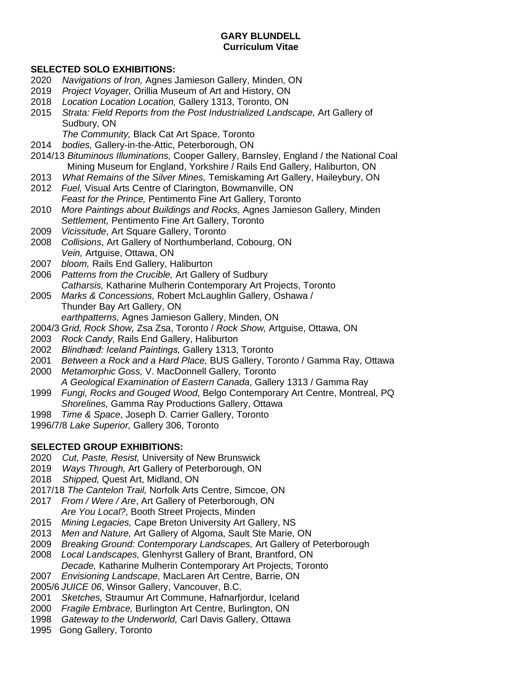#### **GARY BLUNDELL Curriculum Vitae**

#### **SELECTED SOLO EXHIBITIONS:**

- 2020 *Navigations of Iron,* Agnes Jamieson Gallery, Minden, ON
- 2019 *Project Voyager,* Orillia Museum of Art and History, ON
- 2018 *Location Location Location,* Gallery 1313, Toronto, ON
- 2015 *Strata: Field Reports from the Post Industrialized Landscape,* Art Gallery of Sudbury, ON
	- *The Community,* Black Cat Art Space, Toronto
- 2014 *bodies,* Gallery-in-the-Attic, Peterborough, ON
- 2014/13 *Bituminous Illuminations,* Cooper Gallery, Barnsley, England / the National Coal Mining Museum for England, Yorkshire / Rails End Gallery, Haliburton, ON
- 2013 *What Remains of the Silver Mines,* Temiskaming Art Gallery, Haileybury, ON
- 2012 *Fuel,* Visual Arts Centre of Clarington, Bowmanville, ON *Feast for the Prince,* Pentimento Fine Art Gallery, Toronto
- 2010 *More Paintings about Buildings and Rocks,* Agnes Jamieson Gallery, Minden *Settlement,* Pentimento Fine Art Gallery, Toronto
- 2009 *Vicissitude*, Art Square Gallery, Toronto
- 2008 *Collisions*, Art Gallery of Northumberland, Cobourg, ON *Vein,* Artguise, Ottawa, ON
- 2007 *bloom,* Rails End Gallery, Haliburton
- 2006 *Patterns from the Crucible,* Art Gallery of Sudbury *Catharsis,* Katharine Mulherin Contemporary Art Projects, Toronto 2005 *Marks & Concessions,* Robert McLaughlin Gallery, Oshawa /
- Thunder Bay Art Gallery, ON *earthpatterns,* Agnes Jamieson Gallery, Minden, ON
- 2004/3 *Grid, Rock Show,* Zsa Zsa, Toronto / *Rock Show,* Artguise, Ottawa, ON
- 2003 *Rock Candy,* Rails End Gallery, Haliburton
- 2002 *Blindhæđ: Iceland Paintings,* Gallery 1313, Toronto
- 2001 *Between a Rock and a Hard Place,* BUS Gallery, Toronto / Gamma Ray, Ottawa
- 2000 *Metamorphic Goss,* V. MacDonnell Gallery*,* Toronto *A Geological Examination of Eastern Canada*, Gallery 1313 / Gamma Ray
- 1999 *Fungi, Rocks and Gouged Wood*, Belgo Contemporary Art Centre, Montreal, PQ *Shorelines,* Gamma Ray Productions Gallery, Ottawa
- 1998 *Time & Space*, Joseph D. Carrier Gallery, Toronto
- 1996/7/8 *Lake Superior,* Gallery 306, Toronto

## **SELECTED GROUP EXHIBITIONS:**

- 2020 *Cut, Paste, Resist,* University of New Brunswick
- 2019 *Ways Through,* Art Gallery of Peterborough, ON
- 2018 *Shipped,* Quest Art, Midland, ON
- 2017/18 *The Cantelon Trail,* Norfolk Arts Centre, Simcoe, ON
- 2017 *From / Were / Are*, Art Gallery of Peterborough, ON *Are You Local?*, Booth Street Projects, Minden
- 2015 *Mining Legacies,* Cape Breton University Art Gallery, NS
- 2013 *Men and Nature,* Art Gallery of Algoma, Sault Ste Marie, ON
- 2009 *Breaking Ground: Contemporary Landscapes,* Art Gallery of Peterborough
- 2008 *Local Landscapes,* Glenhyrst Gallery of Brant, Brantford, ON *Decade,* Katharine Mulherin Contemporary Art Projects, Toronto
- 2007 *Envisioning Landscape,* MacLaren Art Centre, Barrie, ON
- 2005/6 *JUICE 06*, Winsor Gallery, Vancouver, B.C.
- 2001 *Sketches,* Straumur Art Commune, Hafnarfjordur, Iceland
- 2000 *Fragile Embrace,* Burlington Art Centre, Burlington, ON
- 1998 *Gateway to the Underworld,* Carl Davis Gallery, Ottawa
- 1995 Gong Gallery, Toronto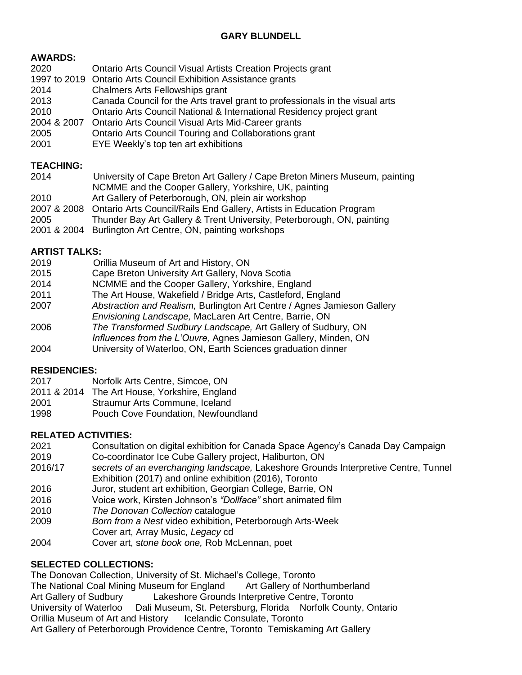## **AWARDS:**

| 2020        | Ontario Arts Council Visual Artists Creation Projects grant                  |
|-------------|------------------------------------------------------------------------------|
|             | 1997 to 2019 Ontario Arts Council Exhibition Assistance grants               |
| 2014        | Chalmers Arts Fellowships grant                                              |
| 2013        | Canada Council for the Arts travel grant to professionals in the visual arts |
| 2010        | Ontario Arts Council National & International Residency project grant        |
| 2004 & 2007 | Ontario Arts Council Visual Arts Mid-Career grants                           |
| 2005        | Ontario Arts Council Touring and Collaborations grant                        |
| 2001        | EYE Weekly's top ten art exhibitions                                         |

### **TEACHING:**

| 2014        | University of Cape Breton Art Gallery / Cape Breton Miners Museum, painting      |
|-------------|----------------------------------------------------------------------------------|
|             | NCMME and the Cooper Gallery, Yorkshire, UK, painting                            |
| 2010        | Art Gallery of Peterborough, ON, plein air workshop                              |
|             | 2007 & 2008 Ontario Arts Council/Rails End Gallery, Artists in Education Program |
| 2005        | Thunder Bay Art Gallery & Trent University, Peterborough, ON, painting           |
| 2001 & 2004 | Burlington Art Centre, ON, painting workshops                                    |

## **ARTIST TALKS:**

| 2019 | Orillia Museum of Art and History, ON                                   |
|------|-------------------------------------------------------------------------|
| 2015 | Cape Breton University Art Gallery, Nova Scotia                         |
| 2014 | NCMME and the Cooper Gallery, Yorkshire, England                        |
| 2011 | The Art House, Wakefield / Bridge Arts, Castleford, England             |
| 2007 | Abstraction and Realism, Burlington Art Centre / Agnes Jamieson Gallery |
|      | Envisioning Landscape, MacLaren Art Centre, Barrie, ON                  |
| 2006 | The Transformed Sudbury Landscape, Art Gallery of Sudbury, ON           |
|      | Influences from the L'Ouvre, Agnes Jamieson Gallery, Minden, ON         |
| 2004 | University of Waterloo, ON, Earth Sciences graduation dinner            |

## **RESIDENCIES:**

- 2017 Norfolk Arts Centre, Simcoe, ON
- 2011 & 2014 The Art House, Yorkshire, England
- 2001 Straumur Arts Commune, Iceland
- 1998 Pouch Cove Foundation, Newfoundland

# **RELATED ACTIVITIES:**

- 2021 Consultation on digital exhibition for Canada Space Agency's Canada Day Campaign
- 2019 Co-coordinator Ice Cube Gallery project, Haliburton, ON<br>2016/17 secrets of an everchanging landscape. Lakeshore Groun
- 2016/17 s*ecrets of an everchanging landscape,* Lakeshore Grounds Interpretive Centre, Tunnel Exhibition (2017) and online exhibition (2016), Toronto
- 2016 Juror, student art exhibition, Georgian College, Barrie, ON
- 2016 Voice work, Kirsten Johnson's *"Dollface"* short animated film
- 2010 *The Donovan Collection* catalogue
- 2009 *Born from a Nest* video exhibition, Peterborough Arts-Week Cover art, Array Music, *Legacy* cd
- 2004 Cover art, s*tone book one,* Rob McLennan, poet

# **SELECTED COLLECTIONS:**

The Donovan Collection, University of St. Michael's College, Toronto The National Coal Mining Museum for England Art Gallery of Northumberland Art Gallery of Sudbury Lakeshore Grounds Interpretive Centre, Toronto University of Waterloo Dali Museum, St. Petersburg, Florida Norfolk County, Ontario Orillia Museum of Art and History Icelandic Consulate, Toronto Art Gallery of Peterborough Providence Centre, Toronto Temiskaming Art Gallery